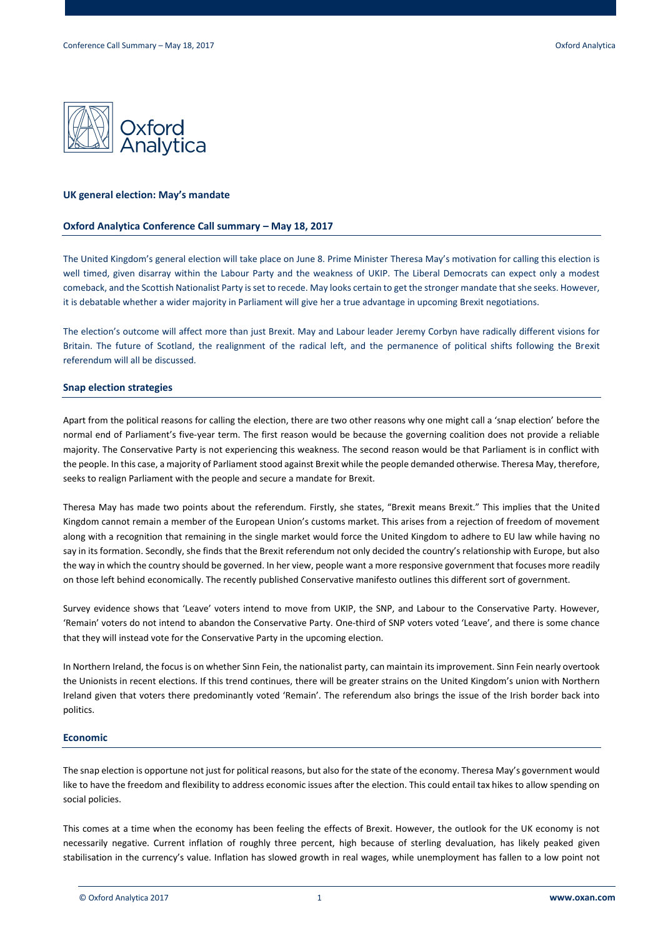

### **UK general election: May's mandate**

## **Oxford Analytica Conference Call summary – May 18, 2017**

The United Kingdom's general election will take place on June 8. Prime Minister Theresa May's motivation for calling this election is well timed, given disarray within the Labour Party and the weakness of UKIP. The Liberal Democrats can expect only a modest comeback, and the Scottish Nationalist Party is set to recede. May looks certain to get the stronger mandate that she seeks. However, it is debatable whether a wider majority in Parliament will give her a true advantage in upcoming Brexit negotiations.

The election's outcome will affect more than just Brexit. May and Labour leader Jeremy Corbyn have radically different visions for Britain. The future of Scotland, the realignment of the radical left, and the permanence of political shifts following the Brexit referendum will all be discussed.

## **Snap election strategies**

Apart from the political reasons for calling the election, there are two other reasons why one might call a 'snap election' before the normal end of Parliament's five-year term. The first reason would be because the governing coalition does not provide a reliable majority. The Conservative Party is not experiencing this weakness. The second reason would be that Parliament is in conflict with the people. In this case, a majority of Parliament stood against Brexit while the people demanded otherwise. Theresa May, therefore, seeks to realign Parliament with the people and secure a mandate for Brexit.

Theresa May has made two points about the referendum. Firstly, she states, "Brexit means Brexit." This implies that the United Kingdom cannot remain a member of the European Union's customs market. This arises from a rejection of freedom of movement along with a recognition that remaining in the single market would force the United Kingdom to adhere to EU law while having no say in its formation. Secondly, she finds that the Brexit referendum not only decided the country's relationship with Europe, but also the way in which the country should be governed. In her view, people want a more responsive government that focuses more readily on those left behind economically. The recently published Conservative manifesto outlines this different sort of government.

Survey evidence shows that 'Leave' voters intend to move from UKIP, the SNP, and Labour to the Conservative Party. However, 'Remain' voters do not intend to abandon the Conservative Party. One-third of SNP voters voted 'Leave', and there is some chance that they will instead vote for the Conservative Party in the upcoming election.

In Northern Ireland, the focus is on whether Sinn Fein, the nationalist party, can maintain its improvement. Sinn Fein nearly overtook the Unionists in recent elections. If this trend continues, there will be greater strains on the United Kingdom's union with Northern Ireland given that voters there predominantly voted 'Remain'. The referendum also brings the issue of the Irish border back into politics.

## **Economic**

The snap election is opportune not just for political reasons, but also for the state of the economy. Theresa May's government would like to have the freedom and flexibility to address economic issues after the election. This could entail tax hikes to allow spending on social policies.

This comes at a time when the economy has been feeling the effects of Brexit. However, the outlook for the UK economy is not necessarily negative. Current inflation of roughly three percent, high because of sterling devaluation, has likely peaked given stabilisation in the currency's value. Inflation has slowed growth in real wages, while unemployment has fallen to a low point not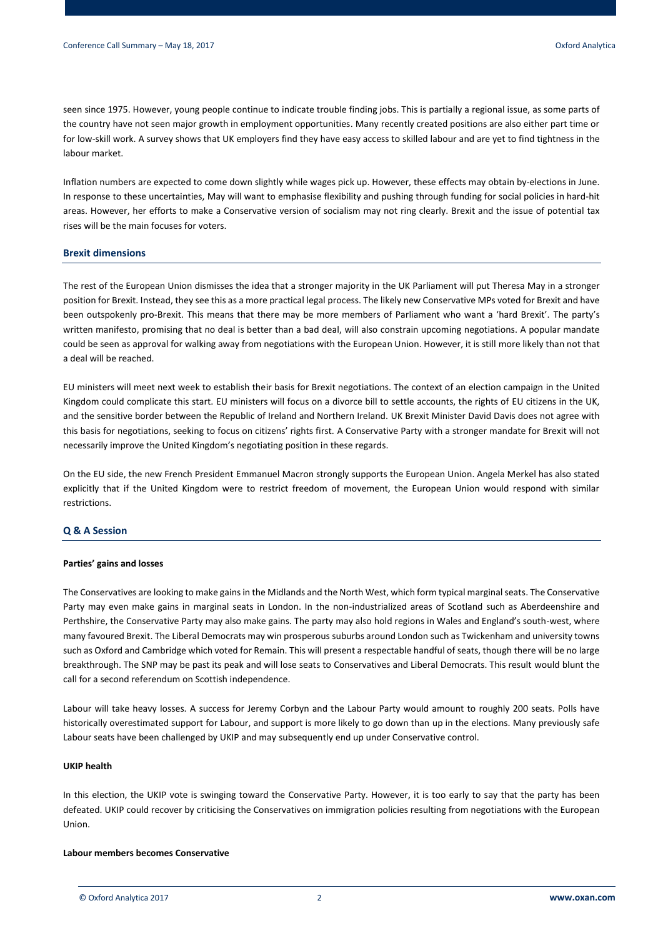seen since 1975. However, young people continue to indicate trouble finding jobs. This is partially a regional issue, as some parts of the country have not seen major growth in employment opportunities. Many recently created positions are also either part time or for low-skill work. A survey shows that UK employers find they have easy access to skilled labour and are yet to find tightness in the labour market.

Inflation numbers are expected to come down slightly while wages pick up. However, these effects may obtain by-elections in June. In response to these uncertainties, May will want to emphasise flexibility and pushing through funding for social policies in hard-hit areas. However, her efforts to make a Conservative version of socialism may not ring clearly. Brexit and the issue of potential tax rises will be the main focuses for voters.

## **Brexit dimensions**

The rest of the European Union dismisses the idea that a stronger majority in the UK Parliament will put Theresa May in a stronger position for Brexit. Instead, they see this as a more practical legal process. The likely new Conservative MPs voted for Brexit and have been outspokenly pro-Brexit. This means that there may be more members of Parliament who want a 'hard Brexit'. The party's written manifesto, promising that no deal is better than a bad deal, will also constrain upcoming negotiations. A popular mandate could be seen as approval for walking away from negotiations with the European Union. However, it is still more likely than not that a deal will be reached.

EU ministers will meet next week to establish their basis for Brexit negotiations. The context of an election campaign in the United Kingdom could complicate this start. EU ministers will focus on a divorce bill to settle accounts, the rights of EU citizens in the UK, and the sensitive border between the Republic of Ireland and Northern Ireland. UK Brexit Minister David Davis does not agree with this basis for negotiations, seeking to focus on citizens' rights first. A Conservative Party with a stronger mandate for Brexit will not necessarily improve the United Kingdom's negotiating position in these regards.

On the EU side, the new French President Emmanuel Macron strongly supports the European Union. Angela Merkel has also stated explicitly that if the United Kingdom were to restrict freedom of movement, the European Union would respond with similar restrictions.

# **Q & A Session**

#### **Parties' gains and losses**

The Conservatives are looking to make gains in the Midlands and the North West, which form typical marginal seats. The Conservative Party may even make gains in marginal seats in London. In the non-industrialized areas of Scotland such as Aberdeenshire and Perthshire, the Conservative Party may also make gains. The party may also hold regions in Wales and England's south-west, where many favoured Brexit. The Liberal Democrats may win prosperous suburbs around London such as Twickenham and university towns such as Oxford and Cambridge which voted for Remain. This will present a respectable handful of seats, though there will be no large breakthrough. The SNP may be past its peak and will lose seats to Conservatives and Liberal Democrats. This result would blunt the call for a second referendum on Scottish independence.

Labour will take heavy losses. A success for Jeremy Corbyn and the Labour Party would amount to roughly 200 seats. Polls have historically overestimated support for Labour, and support is more likely to go down than up in the elections. Many previously safe Labour seats have been challenged by UKIP and may subsequently end up under Conservative control.

## **UKIP health**

In this election, the UKIP vote is swinging toward the Conservative Party. However, it is too early to say that the party has been defeated. UKIP could recover by criticising the Conservatives on immigration policies resulting from negotiations with the European Union.

### **Labour members becomes Conservative**